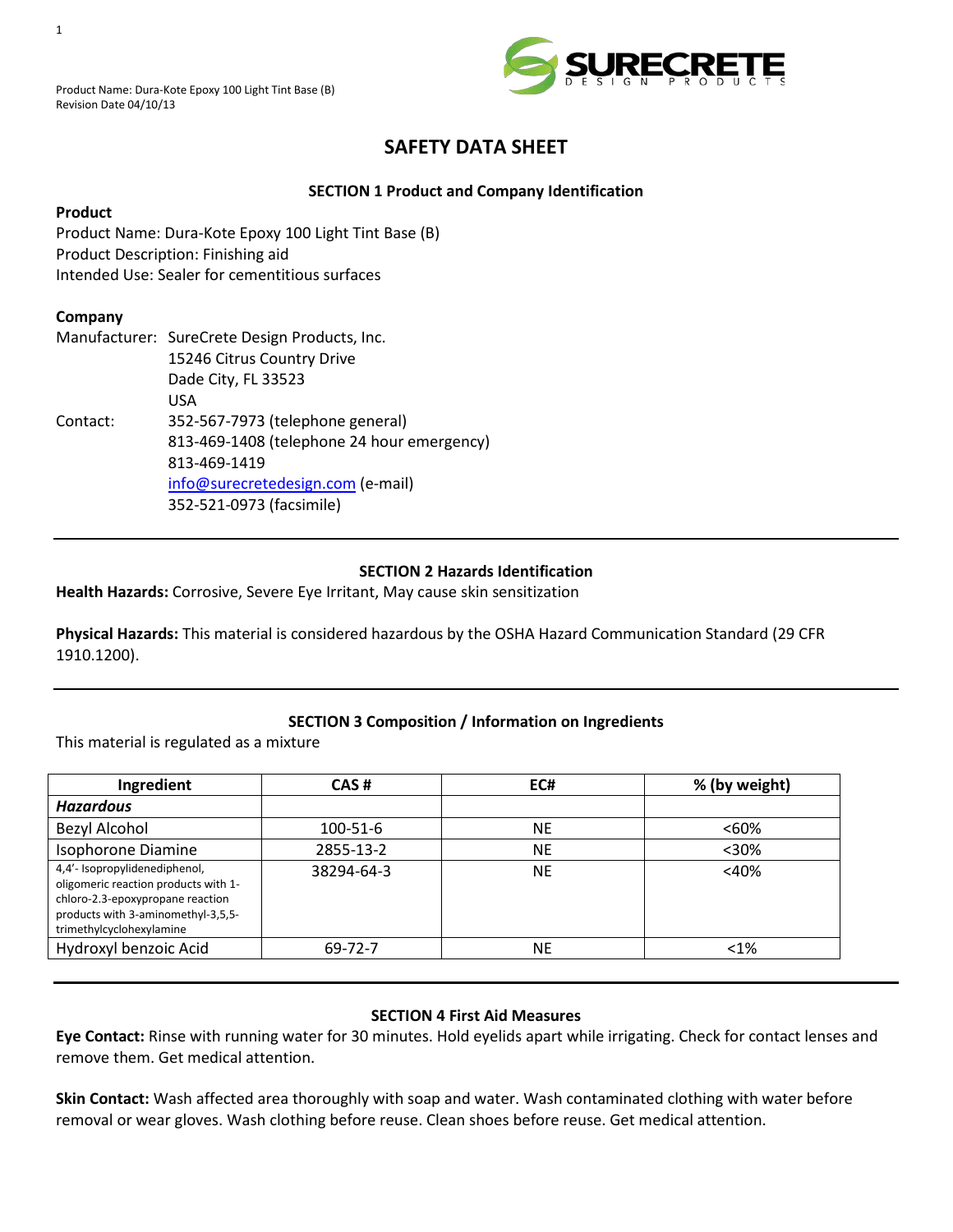

# **SAFETY DATA SHEET**

# **SECTION 1 Product and Company Identification**

## **Product**

Product Name: Dura-Kote Epoxy 100 Light Tint Base (B) Product Description: Finishing aid Intended Use: Sealer for cementitious surfaces

# **Company**

|          | Manufacturer: SureCrete Design Products, Inc. |  |  |
|----------|-----------------------------------------------|--|--|
|          | 15246 Citrus Country Drive                    |  |  |
|          | Dade City, FL 33523                           |  |  |
|          | USA                                           |  |  |
| Contact: | 352-567-7973 (telephone general)              |  |  |
|          | 813-469-1408 (telephone 24 hour emergency)    |  |  |
|          | 813-469-1419                                  |  |  |
|          | info@surecretedesign.com (e-mail)             |  |  |
|          | 352-521-0973 (facsimile)                      |  |  |

#### **SECTION 2 Hazards Identification**

**Health Hazards:** Corrosive, Severe Eye Irritant, May cause skin sensitization

**Physical Hazards:** This material is considered hazardous by the OSHA Hazard Communication Standard (29 CFR 1910.1200).

# **SECTION 3 Composition / Information on Ingredients**

This material is regulated as a mixture

| Ingredient                                                                                                                                                                  | CAS#       | EC#       | % (by weight) |
|-----------------------------------------------------------------------------------------------------------------------------------------------------------------------------|------------|-----------|---------------|
| <b>Hazardous</b>                                                                                                                                                            |            |           |               |
| <b>Bezyl Alcohol</b>                                                                                                                                                        | 100-51-6   | <b>NE</b> | $< 60\%$      |
| Isophorone Diamine                                                                                                                                                          | 2855-13-2  | <b>NE</b> | $30%$         |
| 4,4'- Isopropylidenediphenol,<br>oligomeric reaction products with 1-<br>chloro-2.3-epoxypropane reaction<br>products with 3-aminomethyl-3,5,5-<br>trimethylcyclohexylamine | 38294-64-3 | <b>NE</b> | $<$ 40%       |
| Hydroxyl benzoic Acid                                                                                                                                                       | 69-72-7    | <b>NE</b> | $< 1\%$       |

#### **SECTION 4 First Aid Measures**

**Eye Contact:** Rinse with running water for 30 minutes. Hold eyelids apart while irrigating. Check for contact lenses and remove them. Get medical attention.

**Skin Contact:** Wash affected area thoroughly with soap and water. Wash contaminated clothing with water before removal or wear gloves. Wash clothing before reuse. Clean shoes before reuse. Get medical attention.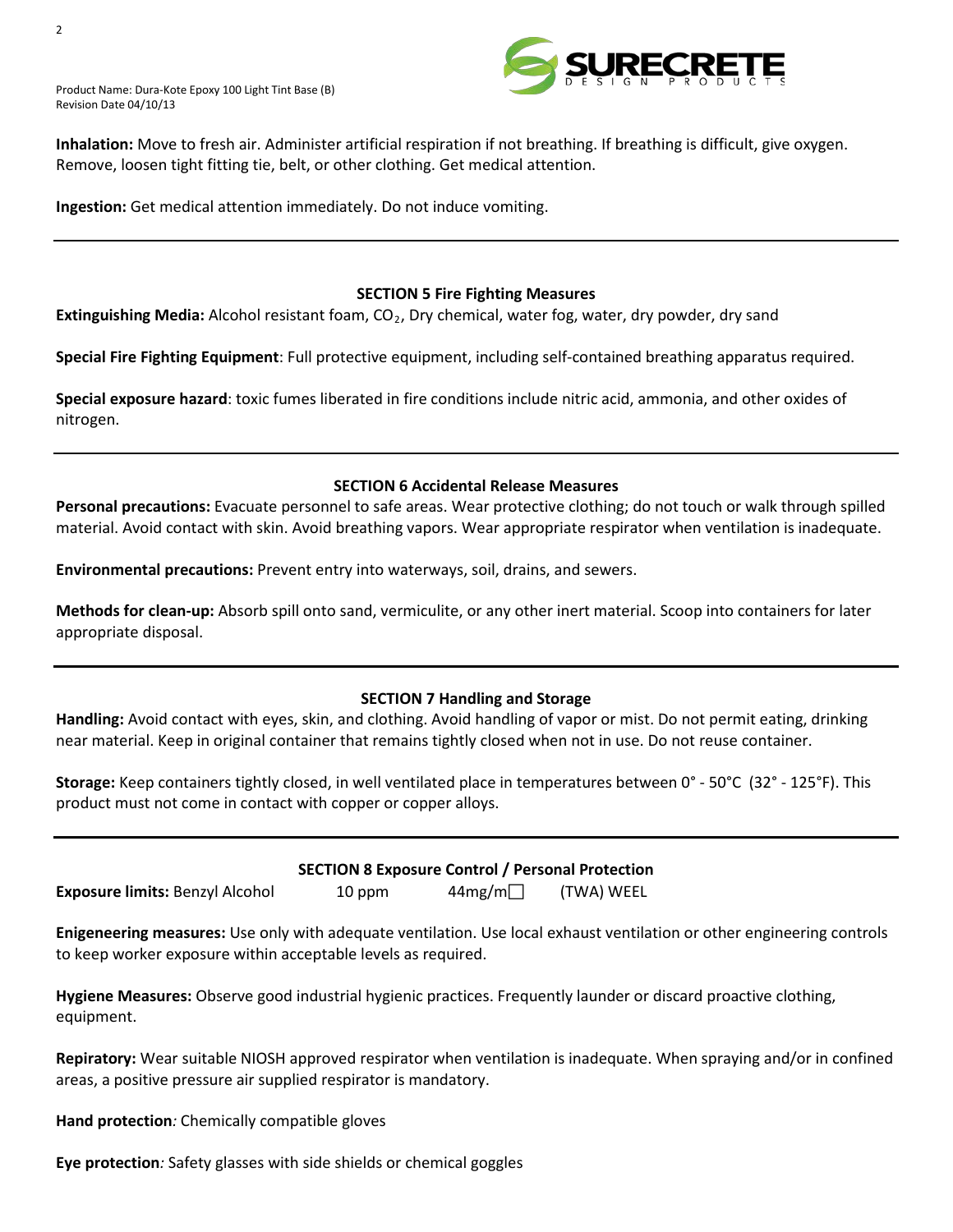Product Name: Dura-Kote Epoxy 100 Light Tint Base (B) Revision Date 04/10/13



**Inhalation:** Move to fresh air. Administer artificial respiration if not breathing. If breathing is difficult, give oxygen. Remove, loosen tight fitting tie, belt, or other clothing. Get medical attention.

**Ingestion:** Get medical attention immediately. Do not induce vomiting.

#### **SECTION 5 Fire Fighting Measures**

**Extinguishing Media:** Alcohol resistant foam, CO<sub>2</sub>, Dry chemical, water fog, water, dry powder, dry sand

**Special Fire Fighting Equipment**: Full protective equipment, including self-contained breathing apparatus required.

**Special exposure hazard**: toxic fumes liberated in fire conditions include nitric acid, ammonia, and other oxides of nitrogen.

#### **SECTION 6 Accidental Release Measures**

**Personal precautions:** Evacuate personnel to safe areas. Wear protective clothing; do not touch or walk through spilled material. Avoid contact with skin. Avoid breathing vapors. Wear appropriate respirator when ventilation is inadequate.

**Environmental precautions:** Prevent entry into waterways, soil, drains, and sewers.

**Methods for clean-up:** Absorb spill onto sand, vermiculite, or any other inert material. Scoop into containers for later appropriate disposal.

#### **SECTION 7 Handling and Storage**

**Handling:** Avoid contact with eyes, skin, and clothing. Avoid handling of vapor or mist. Do not permit eating, drinking near material. Keep in original container that remains tightly closed when not in use. Do not reuse container.

**Storage:** Keep containers tightly closed, in well ventilated place in temperatures between 0° - 50°C (32° - 125°F). This product must not come in contact with copper or copper alloys.

| <b>Exposure limits: Benzyl Alcohol</b> |  |  |
|----------------------------------------|--|--|
|                                        |  |  |

# **SECTION 8 Exposure Control / Personal Protection**

 $10$  ppm  $44$ mg/m (TWA) WEEL

**Enigeneering measures:** Use only with adequate ventilation. Use local exhaust ventilation or other engineering controls to keep worker exposure within acceptable levels as required.

**Hygiene Measures:** Observe good industrial hygienic practices. Frequently launder or discard proactive clothing, equipment.

**Repiratory:** Wear suitable NIOSH approved respirator when ventilation is inadequate. When spraying and/or in confined areas, a positive pressure air supplied respirator is mandatory.

**Hand protection***:* Chemically compatible gloves

**Eye protection***:* Safety glasses with side shields or chemical goggles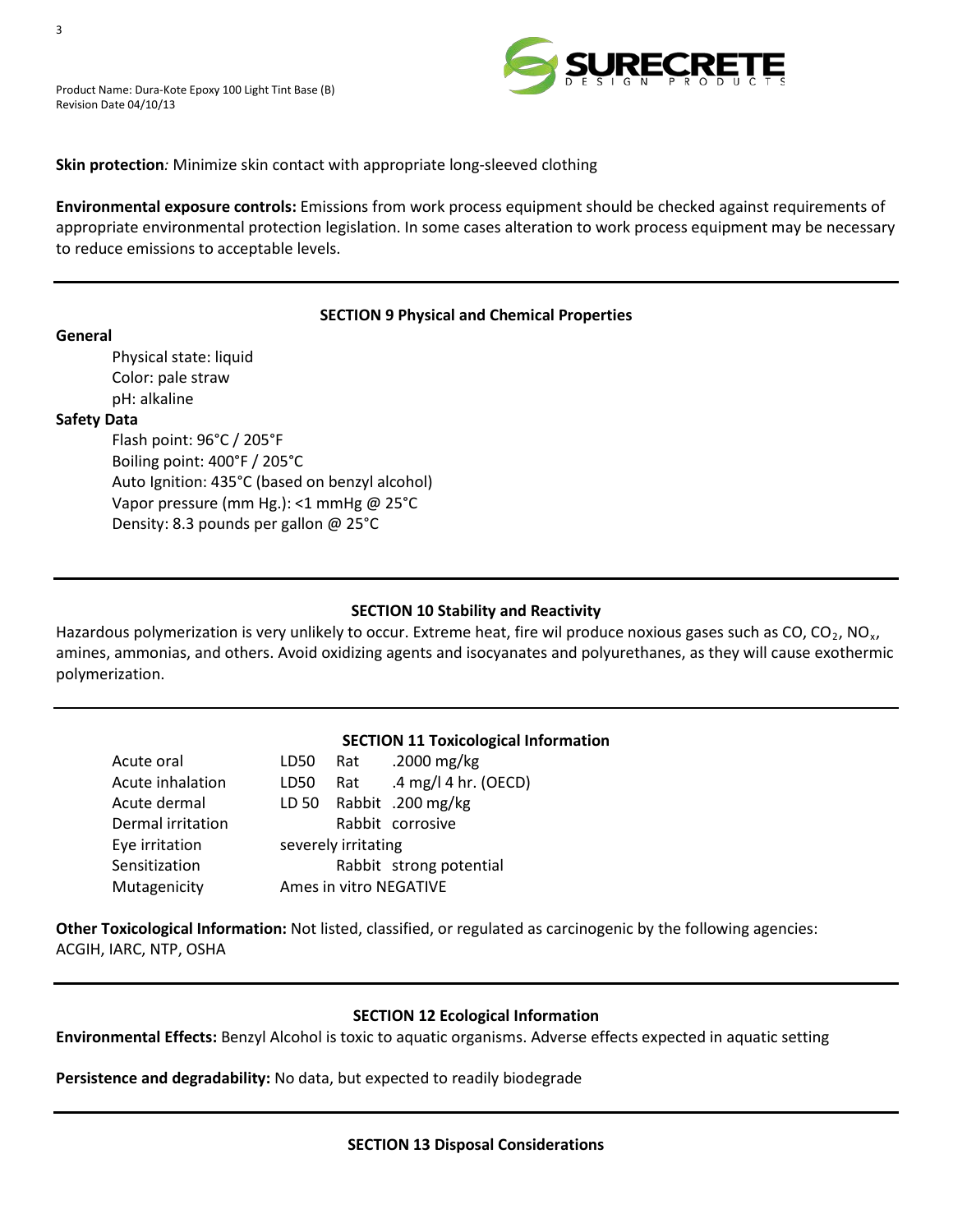

## **Skin protection***:* Minimize skin contact with appropriate long-sleeved clothing

**Environmental exposure controls:** Emissions from work process equipment should be checked against requirements of appropriate environmental protection legislation. In some cases alteration to work process equipment may be necessary to reduce emissions to acceptable levels.

# **SECTION 9 Physical and Chemical Properties**

**General** Physical state: liquid Color: pale straw pH: alkaline

#### **Safety Data**

Flash point: 96°C / 205°F Boiling point: 400°F / 205°C Auto Ignition: 435°C (based on benzyl alcohol) Vapor pressure (mm Hg.): <1 mmHg @ 25°C Density: 8.3 pounds per gallon @ 25°C

# **SECTION 10 Stability and Reactivity**

Hazardous polymerization is very unlikely to occur. Extreme heat, fire wil produce noxious gases such as CO, CO<sub>2</sub>, NO<sub>x</sub>, amines, ammonias, and others. Avoid oxidizing agents and isocyanates and polyurethanes, as they will cause exothermic polymerization.

#### **SECTION 11 Toxicological Information**

| Acute oral        |      |                     | LD50 Rat .2000 mg/kg    |
|-------------------|------|---------------------|-------------------------|
| Acute inhalation  | LD50 | Rat                 | .4 mg/l 4 hr. (OECD)    |
| Acute dermal      |      |                     | LD 50 Rabbit .200 mg/kg |
| Dermal irritation |      |                     | Rabbit corrosive        |
| Eye irritation    |      | severely irritating |                         |
| Sensitization     |      |                     | Rabbit strong potential |
| Mutagenicity      |      |                     | Ames in vitro NEGATIVE  |
|                   |      |                     |                         |

**Other Toxicological Information:** Not listed, classified, or regulated as carcinogenic by the following agencies: ACGIH, IARC, NTP, OSHA

#### **SECTION 12 Ecological Information**

**Environmental Effects:** Benzyl Alcohol is toxic to aquatic organisms. Adverse effects expected in aquatic setting

**Persistence and degradability:** No data, but expected to readily biodegrade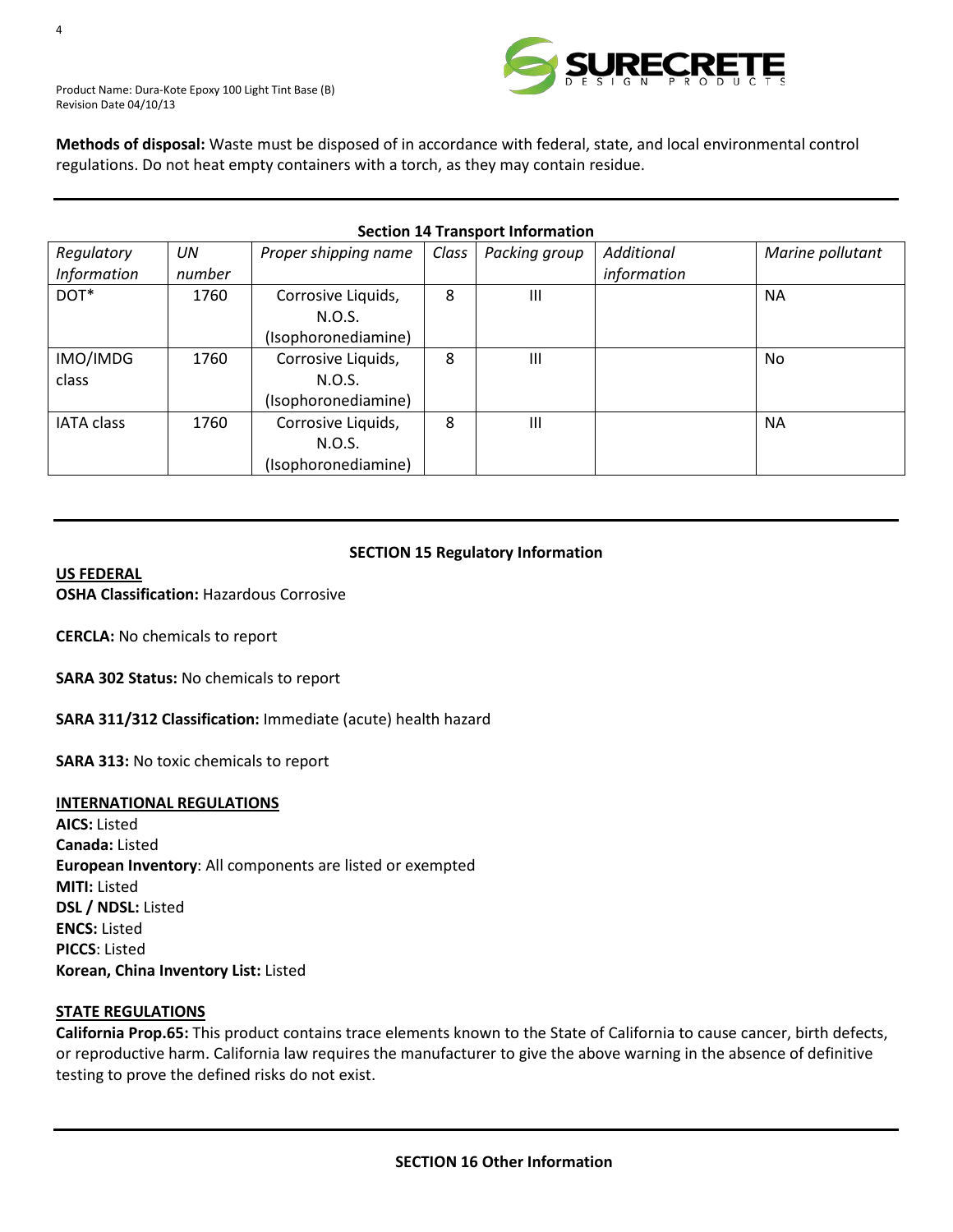

Product Name: Dura-Kote Epoxy 100 Light Tint Base (B) Revision Date 04/10/13

**Methods of disposal:** Waste must be disposed of in accordance with federal, state, and local environmental control regulations. Do not heat empty containers with a torch, as they may contain residue.

| <b>Section 14 Transport Information</b> |        |                      |                    |               |             |                  |
|-----------------------------------------|--------|----------------------|--------------------|---------------|-------------|------------------|
| Regulatory                              | UN     | Proper shipping name | Class <sup>1</sup> | Packing group | Additional  | Marine pollutant |
| <b>Information</b>                      | number |                      |                    |               | information |                  |
| DOT*                                    | 1760   | Corrosive Liquids,   | 8                  | Ш             |             | <b>NA</b>        |
|                                         |        | N.O.S.               |                    |               |             |                  |
|                                         |        | (Isophoronediamine)  |                    |               |             |                  |
| IMO/IMDG                                | 1760   | Corrosive Liquids,   | 8                  | Ш             |             | N <sub>o</sub>   |
| class                                   |        | N.O.S.               |                    |               |             |                  |
|                                         |        | (Isophoronediamine)  |                    |               |             |                  |
| <b>IATA class</b>                       | 1760   | Corrosive Liquids,   | 8                  | Ш             |             | <b>NA</b>        |
|                                         |        | N.O.S.               |                    |               |             |                  |
|                                         |        | (Isophoronediamine)  |                    |               |             |                  |

#### **SECTION 15 Regulatory Information**

#### *<sup>U</sup>***US FEDERAL**

**OSHA Classification:** Hazardous Corrosive

**CERCLA:** No chemicals to report

**SARA 302 Status:** No chemicals to report

**SARA 311/312 Classification:** Immediate (acute) health hazard

**SARA 313:** No toxic chemicals to report

#### *<sup>U</sup>***INTERNATIONAL REGULATIONS**

**AICS:** Listed **Canada:** Listed **European Inventory**: All components are listed or exempted **MITI:** Listed **DSL / NDSL:** Listed **ENCS:** Listed **PICCS**: Listed **Korean, China Inventory List:** Listed

#### **STATE REGULATIONS**

**California Prop.65:** This product contains trace elements known to the State of California to cause cancer, birth defects, or reproductive harm. California law requires the manufacturer to give the above warning in the absence of definitive testing to prove the defined risks do not exist.